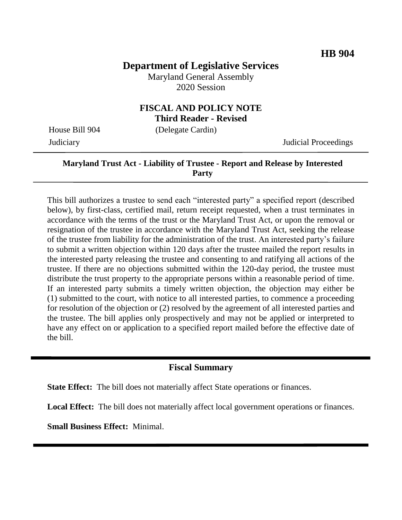# **Department of Legislative Services**

Maryland General Assembly 2020 Session

#### **FISCAL AND POLICY NOTE Third Reader - Revised**

House Bill 904 (Delegate Cardin)

Judiciary Judicial Proceedings

### **Maryland Trust Act - Liability of Trustee - Report and Release by Interested Party**

This bill authorizes a trustee to send each "interested party" a specified report (described below), by first-class, certified mail, return receipt requested, when a trust terminates in accordance with the terms of the trust or the Maryland Trust Act, or upon the removal or resignation of the trustee in accordance with the Maryland Trust Act, seeking the release of the trustee from liability for the administration of the trust. An interested party's failure to submit a written objection within 120 days after the trustee mailed the report results in the interested party releasing the trustee and consenting to and ratifying all actions of the trustee. If there are no objections submitted within the 120-day period, the trustee must distribute the trust property to the appropriate persons within a reasonable period of time. If an interested party submits a timely written objection, the objection may either be (1) submitted to the court, with notice to all interested parties, to commence a proceeding for resolution of the objection or (2) resolved by the agreement of all interested parties and the trustee. The bill applies only prospectively and may not be applied or interpreted to have any effect on or application to a specified report mailed before the effective date of the bill.

#### **Fiscal Summary**

**State Effect:** The bill does not materially affect State operations or finances.

**Local Effect:** The bill does not materially affect local government operations or finances.

**Small Business Effect:** Minimal.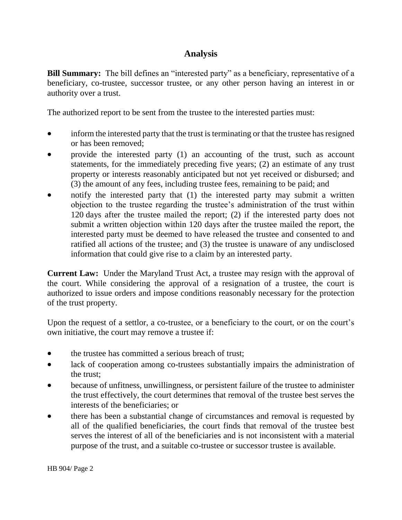## **Analysis**

**Bill Summary:** The bill defines an "interested party" as a beneficiary, representative of a beneficiary, co-trustee, successor trustee, or any other person having an interest in or authority over a trust.

The authorized report to be sent from the trustee to the interested parties must:

- inform the interested party that the trust is terminating or that the trustee has resigned or has been removed;
- provide the interested party (1) an accounting of the trust, such as account statements, for the immediately preceding five years; (2) an estimate of any trust property or interests reasonably anticipated but not yet received or disbursed; and (3) the amount of any fees, including trustee fees, remaining to be paid; and
- notify the interested party that (1) the interested party may submit a written objection to the trustee regarding the trustee's administration of the trust within 120 days after the trustee mailed the report; (2) if the interested party does not submit a written objection within 120 days after the trustee mailed the report, the interested party must be deemed to have released the trustee and consented to and ratified all actions of the trustee; and (3) the trustee is unaware of any undisclosed information that could give rise to a claim by an interested party.

**Current Law:** Under the Maryland Trust Act, a trustee may resign with the approval of the court. While considering the approval of a resignation of a trustee, the court is authorized to issue orders and impose conditions reasonably necessary for the protection of the trust property.

Upon the request of a settlor, a co-trustee, or a beneficiary to the court, or on the court's own initiative, the court may remove a trustee if:

- the trustee has committed a serious breach of trust;
- lack of cooperation among co-trustees substantially impairs the administration of the trust;
- because of unfitness, unwillingness, or persistent failure of the trustee to administer the trust effectively, the court determines that removal of the trustee best serves the interests of the beneficiaries; or
- there has been a substantial change of circumstances and removal is requested by all of the qualified beneficiaries, the court finds that removal of the trustee best serves the interest of all of the beneficiaries and is not inconsistent with a material purpose of the trust, and a suitable co-trustee or successor trustee is available.